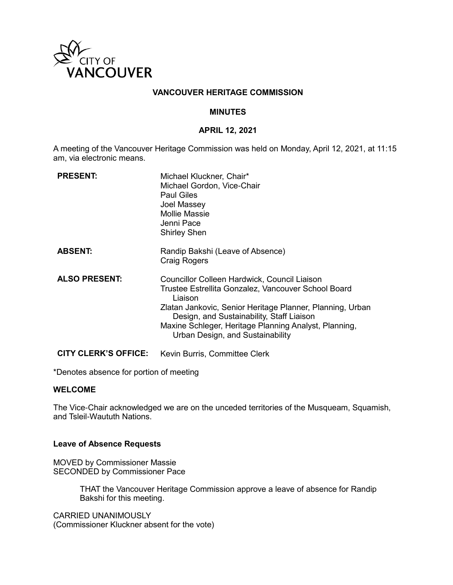

## **VANCOUVER HERITAGE COMMISSION**

### **MINUTES**

## **APRIL 12, 2021**

A meeting of the Vancouver Heritage Commission was held on Monday, April 12, 2021, at 11:15 am, via electronic means.

| <b>PRESENT:</b>             | Michael Kluckner, Chair*<br>Michael Gordon, Vice-Chair<br><b>Paul Giles</b><br>Joel Massey<br><b>Mollie Massie</b><br>Jenni Pace<br><b>Shirley Shen</b>                                                                                                                                                               |
|-----------------------------|-----------------------------------------------------------------------------------------------------------------------------------------------------------------------------------------------------------------------------------------------------------------------------------------------------------------------|
| <b>ABSENT:</b>              | Randip Bakshi (Leave of Absence)<br><b>Craig Rogers</b>                                                                                                                                                                                                                                                               |
| <b>ALSO PRESENT:</b>        | Councillor Colleen Hardwick, Council Liaison<br>Trustee Estrellita Gonzalez, Vancouver School Board<br>Liaison<br>Zlatan Jankovic, Senior Heritage Planner, Planning, Urban<br>Design, and Sustainability, Staff Liaison<br>Maxine Schleger, Heritage Planning Analyst, Planning,<br>Urban Design, and Sustainability |
| <b>CITY CLERK'S OFFICE:</b> | Kevin Burris, Committee Clerk                                                                                                                                                                                                                                                                                         |

\*Denotes absence for portion of meeting

### **WELCOME**

The Vice-Chair acknowledged we are on the unceded territories of the Musqueam, Squamish, and Tsleil-Waututh Nations.

#### **Leave of Absence Requests**

MOVED by Commissioner Massie SECONDED by Commissioner Pace

> THAT the Vancouver Heritage Commission approve a leave of absence for Randip Bakshi for this meeting.

CARRIED UNANIMOUSLY (Commissioner Kluckner absent for the vote)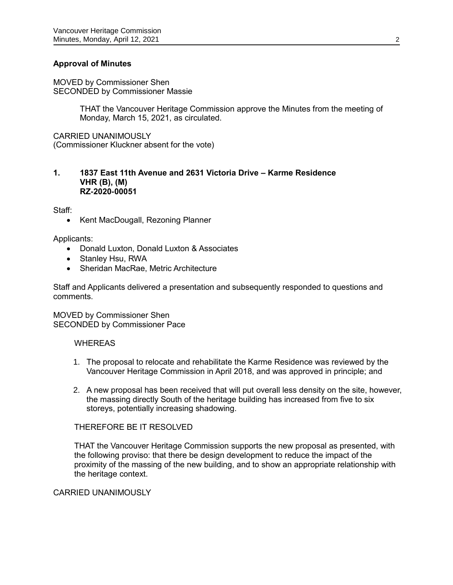# **Approval of Minutes**

MOVED by Commissioner Shen SECONDED by Commissioner Massie

> THAT the Vancouver Heritage Commission approve the Minutes from the meeting of Monday, March 15, 2021, as circulated.

CARRIED UNANIMOUSLY (Commissioner Kluckner absent for the vote)

### **1. 1837 East 11th Avenue and 2631 Victoria Drive – Karme Residence VHR (B), (M) RZ-2020-00051**

Staff:

• Kent MacDougall, Rezoning Planner

Applicants:

- Donald Luxton, Donald Luxton & Associates
- Stanley Hsu, RWA
- Sheridan MacRae, Metric Architecture

Staff and Applicants delivered a presentation and subsequently responded to questions and comments.

MOVED by Commissioner Shen SECONDED by Commissioner Pace

### WHEREAS

- 1. The proposal to relocate and rehabilitate the Karme Residence was reviewed by the Vancouver Heritage Commission in April 2018, and was approved in principle; and
- 2. A new proposal has been received that will put overall less density on the site, however, the massing directly South of the heritage building has increased from five to six storeys, potentially increasing shadowing.

# THEREFORE BE IT RESOLVED

THAT the Vancouver Heritage Commission supports the new proposal as presented, with the following proviso: that there be design development to reduce the impact of the proximity of the massing of the new building, and to show an appropriate relationship with the heritage context.

# CARRIED UNANIMOUSLY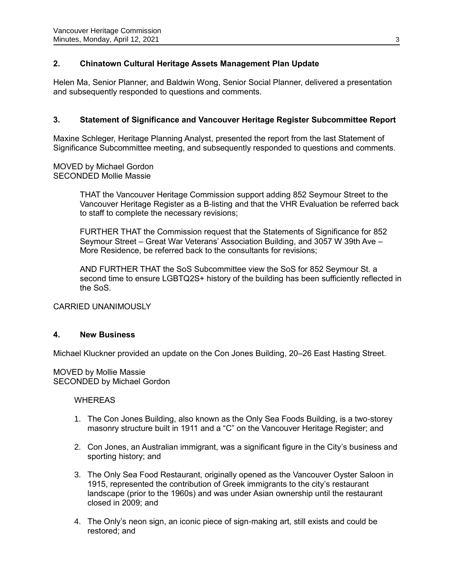# **2. Chinatown Cultural Heritage Assets Management Plan Update**

Helen Ma, Senior Planner, and Baldwin Wong, Senior Social Planner, delivered a presentation and subsequently responded to questions and comments.

# **3. Statement of Significance and Vancouver Heritage Register Subcommittee Report**

Maxine Schleger, Heritage Planning Analyst, presented the report from the last Statement of Significance Subcommittee meeting, and subsequently responded to questions and comments.

MOVED by Michael Gordon SECONDED Mollie Massie

> THAT the Vancouver Heritage Commission support adding 852 Seymour Street to the Vancouver Heritage Register as a B-listing and that the VHR Evaluation be referred back to staff to complete the necessary revisions;

FURTHER THAT the Commission request that the Statements of Significance for 852 Seymour Street – Great War Veterans' Association Building, and 3057 W 39th Ave – More Residence, be referred back to the consultants for revisions;

AND FURTHER THAT the SoS Subcommittee view the SoS for 852 Seymour St. a second time to ensure LGBTQ2S+ history of the building has been sufficiently reflected in the SoS.

CARRIED UNANIMOUSLY

# **4. New Business**

Michael Kluckner provided an update on the Con Jones Building, 20–26 East Hasting Street.

MOVED by Mollie Massie SECONDED by Michael Gordon

**WHEREAS** 

- 1. The Con Jones Building, also known as the Only Sea Foods Building, is a two-storey masonry structure built in 1911 and a "C" on the Vancouver Heritage Register; and
- 2. Con Jones, an Australian immigrant, was a significant figure in the City's business and sporting history; and
- 3. The Only Sea Food Restaurant, originally opened as the Vancouver Oyster Saloon in 1915, represented the contribution of Greek immigrants to the city's restaurant landscape (prior to the 1960s) and was under Asian ownership until the restaurant closed in 2009; and
- 4. The Only's neon sign, an iconic piece of sign-making art, still exists and could be restored; and